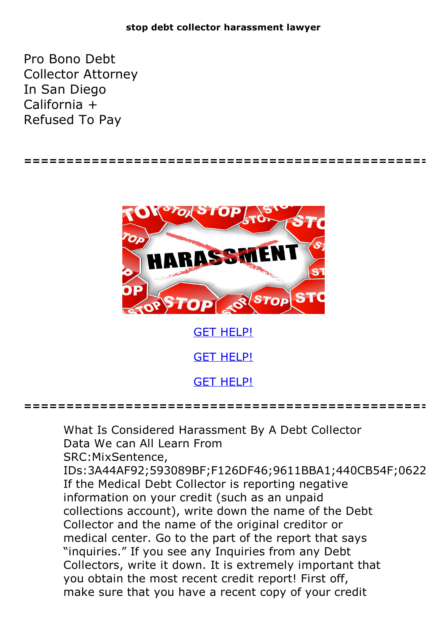## **stop debt collector harassment lawyer**

Pro Bono Debt Collector Attorney In San Diego California + Refused To Pay

**================================================**



GET [HELP!](https://runpdf.xyz/pdf)

GET [HELP!](https://runpdf.xyz/pdf)

GET [HELP!](https://runpdf.xyz/pdf)

**================================================**

What Is Considered Harassment By A Debt Collector Data We can All Learn From SRC:MixSentence, IDs:3A44AF92;593089BF;F126DF46;9611BBA1;440CB54F;0622 If the Medical Debt Collector is reporting negative information on your credit (such as an unpaid collections account), write down the name of the Debt Collector and the name of the original creditor or medical center. Go to the part of the report that says "inquiries." If you see any Inquiries from any Debt Collectors, write it down. It is extremely important that you obtain the most recent credit report! First off, make sure that you have a recent copy of your credit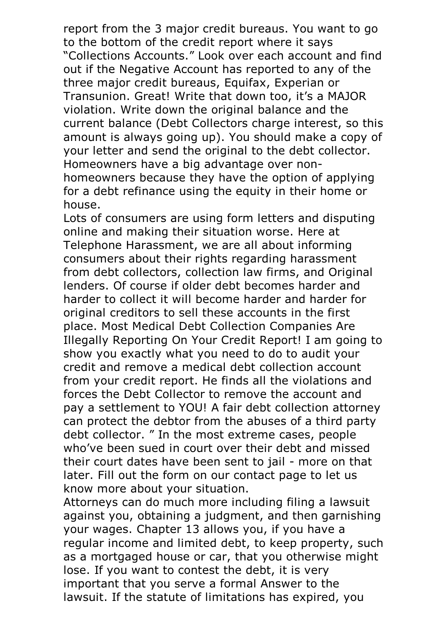report from the 3 major credit bureaus. You want to go to the bottom of the credit report where it says "Collections Accounts." Look over each account and find out if the Negative Account has reported to any of the three major credit bureaus, Equifax, Experian or Transunion. Great! Write that down too, it's a MAJOR violation. Write down the original balance and the current balance (Debt Collectors charge interest, so this amount is always going up). You should make a copy of your letter and send the original to the debt collector. Homeowners have <sup>a</sup> big advantage over non- homeowners because they have the option of applying for a debt refinance using the equity in their home or house.

Lots of consumers are using form letters and disputing online and making their situation worse. Here at Telephone Harassment, we are all about informing consumers about their rights regarding harassment from debt collectors, collection law firms, and Original lenders. Of course if older debt becomes harder and harder to collect it will become harder and harder for original creditors to sell these accounts in the first place. Most Medical Debt Collection Companies Are Illegally Reporting On Your Credit Report! I am going to show you exactly what you need to do to audit your credit and remove a medical debt collection account from your credit report. He finds all the violations and forces the Debt Collector to remove the account and pay a settlement to YOU! A fair debt collection attorney can protect the debtor from the abuses of a third party debt collector. " In the most extreme cases, people who've been sued in court over their debt and missed their court dates have been sent to jail - more on that later. Fill out the form on our contact page to let us

know more about your situation. Attorneys can do much more including filing <sup>a</sup> lawsuit against you, obtaining a judgment, and then garnishing your wages. Chapter 13 allows you, if you have a regular income and limited debt, to keep property, such as a mortgaged house or car, that you otherwise might lose. If you want to contest the debt, it is very important that you serve a formal Answer to the lawsuit. If the statute of limitations has expired, you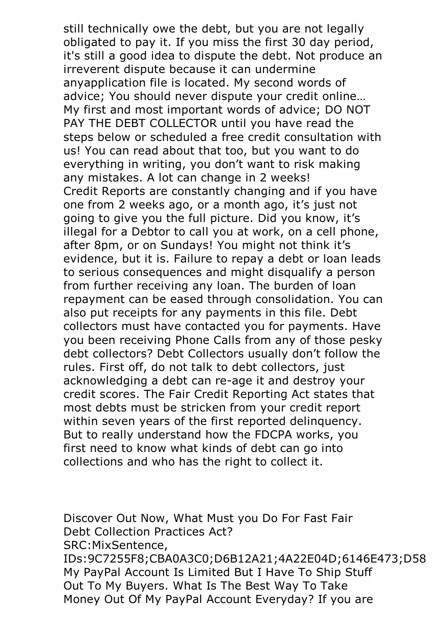still technically owe the debt, but you are not legally obligated to pay it. If you miss the first 30 day period, it's still a good idea to dispute the debt. Not produce an irreverent dispute because it can undermine anyapplication file is located. My second words of advice; You should never dispute your credit online… My first and most important words of advice; DO NOT PAY THE DEBT COLLECTOR until you have read the steps below or scheduled a free credit consultation with us! You can read about that too, but you want to do everything in writing, you don't want to risk making any mistakes. A lot can change in 2 weeks! Credit Reports are constantly changing and if you have one from 2 weeks ago, or a month ago, it's just not going to give you the full picture. Did you know, it's illegal for a Debtor to call you at work, on a cell phone, after 8pm, or on Sundays! You might not think it's evidence, but it is. Failure to repay a debt or loan leads to serious consequences and might disqualify a person from further receiving any loan. The burden of loan repayment can be eased through consolidation. You can also put receipts for any payments in this file. Debt collectors must have contacted you for payments. Have you been receiving Phone Calls from any of those pesky debt collectors? Debt Collectors usually don't follow the rules. First off, do not talk to debt collectors, just acknowledging a debt can re-age it and destroy your credit scores. The Fair Credit Reporting Act states that most debts must be stricken from your credit report within seven years of the first reported delinquency. But to really understand how the FDCPA works, you first need to know what kinds of debt can go into collections and who has the right to collect it.

Discover Out Now, What Must you Do For Fast Fair Debt Collection Practices Act? SRC:MixSentence, IDs:9C7255F8;CBA0A3C0;D6B12A21;4A22E04D;6146E473;D58 My PayPal Account Is Limited But I Have To Ship Stuff Out To My Buyers. What Is The Best Way To Take Money Out Of My PayPal Account Everyday? If you are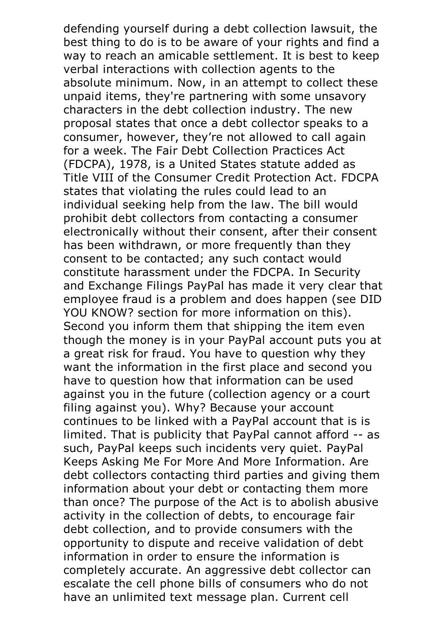defending yourself during a debt collection lawsuit, the best thing to do is to be aware of your rights and find a way to reach an amicable settlement. It is best to keep verbal interactions with collection agents to the absolute minimum. Now, in an attempt to collect these unpaid items, they're partnering with some unsavory characters in the debt collection industry. The new proposal states that once a debt collector speaks to a consumer, however, they're not allowed to call again for a week. The Fair Debt Collection Practices Act (FDCPA), 1978, is a United States statute added as Title VIII of the Consumer Credit Protection Act. FDCPA states that violating the rules could lead to an individual seeking help from the law. The bill would prohibit debt collectors from contacting a consumer electronically without their consent, after their consent has been withdrawn, or more frequently than they consent to be contacted; any such contact would constitute harassment under the FDCPA. In Security and Exchange Filings PayPal has made it very clear that employee fraud is a problem and does happen (see DID YOU KNOW? section for more information on this). Second you inform them that shipping the item even though the money is in your PayPal account puts you at a great risk for fraud. You have to question why they want the information in the first place and second you have to question how that information can be used against you in the future (collection agency or a court filing against you). Why? Because your account continues to be linked with a PayPal account that is is limited. That is publicity that PayPal cannot afford -- as such, PayPal keeps such incidents very quiet. PayPal Keeps Asking Me For More And More Information. Are debt collectors contacting third parties and giving them information about your debt or contacting them more than once? The purpose of the Act is to abolish abusive activity in the collection of debts, to encourage fair debt collection, and to provide consumers with the opportunity to dispute and receive validation of debt information in order to ensure the information is completely accurate. An aggressive debt collector can escalate the cell phone bills of consumers who do not have an unlimited text message plan. Current cell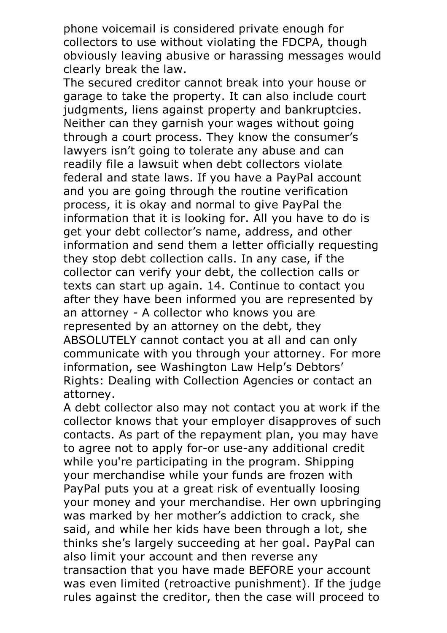phone voicemail is considered private enough for collectors to use without violating the FDCPA, though obviously leaving abusive or harassing messages would clearly break the law. The secured creditor cannot break into your house or

garage to take the property. It can also include court judgments, liens against property and bankruptcies. Neither can they garnish your wages without going through a court process. They know the consumer's lawyers isn't going to tolerate any abuse and can readily file a lawsuit when debt collectors violate federal and state laws. If you have a PayPal account and you are going through the routine verification process, it is okay and normal to give PayPal the information that it is looking for. All you have to do is get your debt collector's name, address, and other information and send them a letter officially requesting they stop debt collection calls. In any case, if the collector can verify your debt, the collection calls or texts can start up again. 14. Continue to contact you after they have been informed you are represented by an attorney - A collector who knows you are represented by an attorney on the debt, they ABSOLUTELY cannot contact you at all and can only communicate with you through your attorney. For more information, see Washington Law Help's Debtors' Rights: Dealing with Collection Agencies or contact an attorney.<br>A debt collector also may not contact you at work if the

collector knows that your employer disapproves of such contacts. As part of the repayment plan, you may have to agree not to apply for-or use-any additional credit while you're participating in the program. Shipping your merchandise while your funds are frozen with PayPal puts you at a great risk of eventually loosing your money and your merchandise. Her own upbringing was marked by her mother's addiction to crack, she said, and while her kids have been through a lot, she thinks she's largely succeeding at her goal. PayPal can also limit your account and then reverse any transaction that you have made BEFORE your account was even limited (retroactive punishment). If the judge rules against the creditor, then the case will proceed to